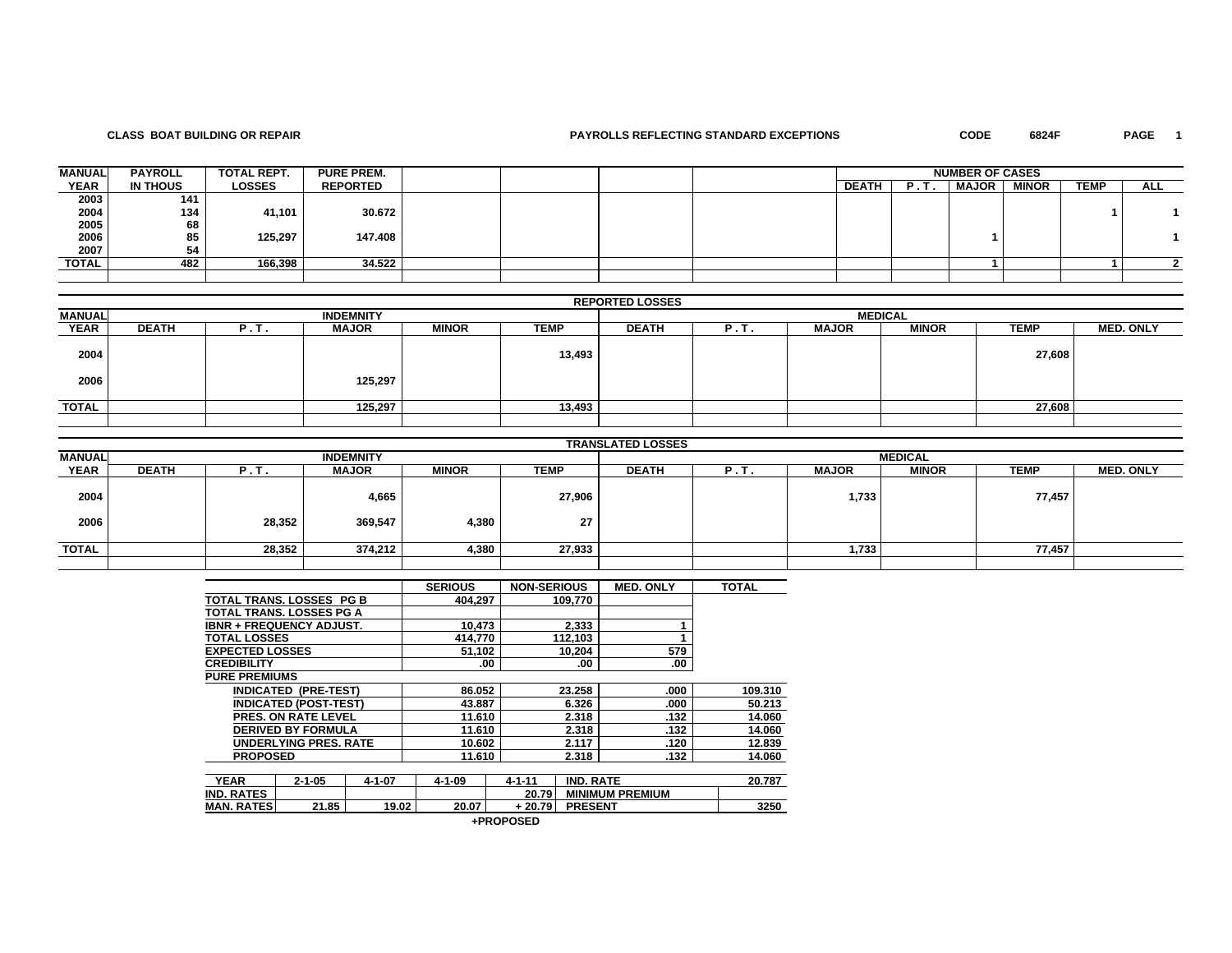### **CLASS BOAT BUILDING OR REPAIR PAYROLLS REFLECTING STANDARD EXCEPTIONS CODE 6824F PAGE 1**

PAGE 1

| <b>MANUAL</b> | <b>PAYROLL</b> | <b>TOTAL REPT.</b> | <b>PURE PREM.</b> |  |  |              |     | <b>NUMBER OF CASES</b> |              |             |     |
|---------------|----------------|--------------------|-------------------|--|--|--------------|-----|------------------------|--------------|-------------|-----|
| <b>YEAR</b>   | IN THOUS       | <b>LOSSES</b>      | <b>REPORTED</b>   |  |  | <b>DEATH</b> | . . | <b>MAJOR</b>           | <b>MINOR</b> | <b>TEMP</b> | ALL |
| 2003          | 141            |                    |                   |  |  |              |     |                        |              |             |     |
|               | 134            | 41,101             | 30.672            |  |  |              |     |                        |              |             |     |
| 2004<br>2005  | 68             |                    |                   |  |  |              |     |                        |              |             |     |
| 2006          | 85             | 125,297            | 147.408           |  |  |              |     |                        |              |             |     |
| 2007          | 54             |                    |                   |  |  |              |     |                        |              |             |     |
| <b>TOTAL</b>  | 482            | 166,398            | 34.522            |  |  |              |     |                        |              |             |     |
|               |                |                    |                   |  |  |              |     |                        |              |             |     |

|               |              |      |                  |              |        | <b>REPORTED LOSSES</b> |         |              |                |             |                  |
|---------------|--------------|------|------------------|--------------|--------|------------------------|---------|--------------|----------------|-------------|------------------|
| <b>MANUAL</b> |              |      | <b>INDEMNITY</b> |              |        |                        |         |              | <b>MEDICAL</b> |             |                  |
| <b>YEAR</b>   | <b>DEATH</b> | P.T. | <b>MAJOR</b>     | <b>MINOR</b> | TEMP   | <b>DEATH</b>           | . P. L. | <b>MAJOR</b> | <b>MINOR</b>   | <b>TEMP</b> | <b>MED. ONLY</b> |
| 2004          |              |      |                  |              | 13,493 |                        |         |              |                | 27,608      |                  |
| 2006          |              |      | 125,297          |              |        |                        |         |              |                |             |                  |
| <b>TOTAL</b>  |              |      | 125,297          |              | 13,493 |                        |         |              |                | 27,608      |                  |
|               |              |      |                  |              |        |                        |         |              |                |             |                  |

|               |              |        |                  |              |        | <b>TRANSLATED LOSSES</b> |            |              |                |             |                  |
|---------------|--------------|--------|------------------|--------------|--------|--------------------------|------------|--------------|----------------|-------------|------------------|
| <b>MANUAL</b> |              |        | <b>INDEMNITY</b> |              |        |                          |            |              | <b>MEDICAL</b> |             |                  |
| <b>YEAR</b>   | <b>DEATH</b> | P.T.   | <b>MAJOR</b>     | <b>MINOR</b> | TEMP   | <b>DEATH</b>             | <u>н.,</u> | <b>MAJOR</b> | <b>MINOR</b>   | <b>TEMP</b> | <b>MED. ONLY</b> |
| 2004          |              |        | 4,665            |              | 27,906 |                          |            | 1,733        |                | 77,457      |                  |
| 2006          |              | 28,352 | 369,547          | 4,380        | 27     |                          |            |              |                |             |                  |
| <b>TOTAL</b>  |              | 28,352 | 374,212          | 4,380        | 27,933 |                          |            | 1,733        |                | 77,457      |                  |
|               |              |        |                  |              |        |                          |            |              |                |             |                  |

|                                 |                              |              | <b>SERIOUS</b> | <b>NON-SERIOUS</b> |                  | <b>MED. ONLY</b>       | <b>TOTAL</b> |
|---------------------------------|------------------------------|--------------|----------------|--------------------|------------------|------------------------|--------------|
| TOTAL TRANS. LOSSES PG B        |                              |              | 404.297        |                    | 109.770          |                        |              |
| TOTAL TRANS. LOSSES PG A        |                              |              |                |                    |                  |                        |              |
| <b>IBNR + FREQUENCY ADJUST.</b> |                              |              | 10.473         |                    | 2.333            |                        |              |
| <b>TOTAL LOSSES</b>             |                              |              | 414.770        |                    | 112,103          |                        |              |
| <b>EXPECTED LOSSES</b>          |                              |              | 51,102         |                    | 10,204           | 579                    |              |
| <b>CREDIBILITY</b>              |                              |              |                | .00                | .00              | .00                    |              |
| <b>PURE PREMIUMS</b>            |                              |              |                |                    |                  |                        |              |
|                                 | <b>INDICATED (PRE-TEST)</b>  |              | 86.052         |                    | 23.258           | .000                   | 109.310      |
|                                 | <b>INDICATED (POST-TEST)</b> |              | 43.887         |                    | 6.326            | .000                   | 50.213       |
|                                 | PRES. ON RATE LEVEL          |              | 11.610         |                    | 2.318            | .132                   | 14.060       |
|                                 | <b>DERIVED BY FORMULA</b>    |              | 11.610         |                    | 2.318            | .132                   | 14.060       |
|                                 | <b>UNDERLYING PRES. RATE</b> |              | 10.602         |                    | 2.117            | .120                   | 12.839       |
| <b>PROPOSED</b>                 |                              |              | 11.610         |                    | 2.318            | .132                   | 14.060       |
|                                 |                              |              |                |                    |                  |                        |              |
| <b>YEAR</b>                     | $2 - 1 - 05$                 | $4 - 1 - 07$ | $4 - 1 - 09$   | $4 - 1 - 11$       | <b>IND. RATE</b> |                        | 20.787       |
| <b>IND. RATES</b>               |                              |              |                | 20.79              |                  | <b>MINIMUM PREMIUM</b> |              |
| <b>MAN. RATES</b>               | 21.85                        | 19.02        | 20.07          | $+20.79$           | <b>PRESENT</b>   |                        | 3250         |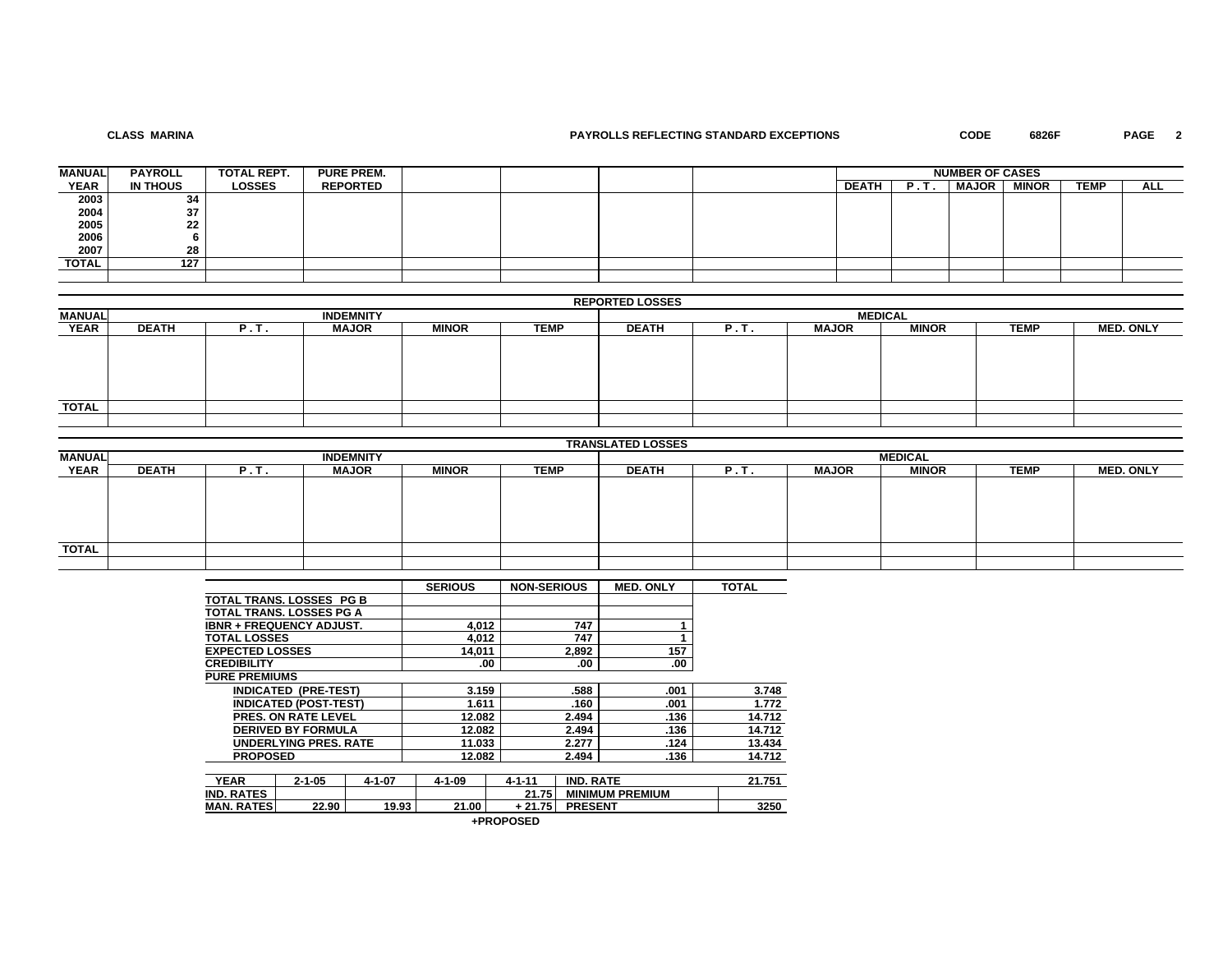## **CLASS MARINA**

## **PAYROLLS REFLECTING STANDARD EXCEPTIONS CODE 6826F PAGE 2**

| <b>MANUAL</b> | <b>PAYROLL</b> | <b>TOTAL REPT.</b> | <b>PURE PREM.</b> |  |  |              |          | <b>NUMBER OF CASES</b> |              |             |     |
|---------------|----------------|--------------------|-------------------|--|--|--------------|----------|------------------------|--------------|-------------|-----|
| <b>YEAR</b>   | IN THOUS       | <b>LOSSES</b>      | <b>REPORTED</b>   |  |  | <b>DEATH</b> | . .<br>. | <b>MAJOR</b>           | <b>MINOR</b> | <b>TEMP</b> | ALL |
| 2003          | 34             |                    |                   |  |  |              |          |                        |              |             |     |
|               | 37             |                    |                   |  |  |              |          |                        |              |             |     |
| 2004<br>2005  | 22             |                    |                   |  |  |              |          |                        |              |             |     |
| 2006          |                |                    |                   |  |  |              |          |                        |              |             |     |
| 2007          | 28             |                    |                   |  |  |              |          |                        |              |             |     |
| TOTAL         | 127            |                    |                   |  |  |              |          |                        |              |             |     |
|               |                |                    |                   |  |  |              |          |                        |              |             |     |

# **REPORTED LOSSES**

| <b>MANUAL</b> |              |                  | <b>INDEMNITY</b> |              |             |              |      |              | <b>MEDICAL</b> |             |                  |
|---------------|--------------|------------------|------------------|--------------|-------------|--------------|------|--------------|----------------|-------------|------------------|
| <b>YEAR</b>   | <b>DEATH</b> | в<br><b>F.L.</b> | <b>MAJOR</b>     | <b>MINOR</b> | <b>TEMP</b> | <b>DEATH</b> | P.T. | <b>MAJOR</b> | <b>MINOR</b>   | <b>TEMP</b> | <b>MED. ONLY</b> |
|               |              |                  |                  |              |             |              |      |              |                |             |                  |
|               |              |                  |                  |              |             |              |      |              |                |             |                  |
|               |              |                  |                  |              |             |              |      |              |                |             |                  |
|               |              |                  |                  |              |             |              |      |              |                |             |                  |
|               |              |                  |                  |              |             |              |      |              |                |             |                  |
| <b>TOTAL</b>  |              |                  |                  |              |             |              |      |              |                |             |                  |
|               |              |                  |                  |              |             |              |      |              |                |             |                  |

|               |              |      |                  |              |             | <b>TRANSLATED LOSSES</b> |      |              |                |             |                  |
|---------------|--------------|------|------------------|--------------|-------------|--------------------------|------|--------------|----------------|-------------|------------------|
| <b>MANUAL</b> |              |      | <b>INDEMNITY</b> |              |             |                          |      |              | <b>MEDICAL</b> |             |                  |
| <b>YEAR</b>   | <b>DEATH</b> | P.T. | <b>MAJOR</b>     | <b>MINOR</b> | <b>TEMP</b> | <b>DEATH</b>             | P.T. | <b>MAJOR</b> | <b>MINOR</b>   | <b>TEMP</b> | <b>MED. ONLY</b> |
|               |              |      |                  |              |             |                          |      |              |                |             |                  |
|               |              |      |                  |              |             |                          |      |              |                |             |                  |
|               |              |      |                  |              |             |                          |      |              |                |             |                  |
|               |              |      |                  |              |             |                          |      |              |                |             |                  |
|               |              |      |                  |              |             |                          |      |              |                |             |                  |
| <b>TOTAL</b>  |              |      |                  |              |             |                          |      |              |                |             |                  |
|               |              |      |                  |              |             |                          |      |              |                |             |                  |

|                                 |                              |              | <b>SERIOUS</b> | <b>NON-SERIOUS</b> |                  | <b>MED. ONLY</b>       | <b>TOTAL</b> |
|---------------------------------|------------------------------|--------------|----------------|--------------------|------------------|------------------------|--------------|
| <b>TOTAL TRANS, LOSSES PG B</b> |                              |              |                |                    |                  |                        |              |
| <b>TOTAL TRANS, LOSSES PG A</b> |                              |              |                |                    |                  |                        |              |
| <b>IBNR + FREQUENCY ADJUST.</b> |                              |              | 4,012          |                    | 747              |                        |              |
| <b>TOTAL LOSSES</b>             |                              |              | 4,012          |                    | 747              |                        |              |
| <b>EXPECTED LOSSES</b>          |                              |              | 14,011         |                    | 2,892            | 157                    |              |
| <b>CREDIBILITY</b>              |                              |              | .00            |                    | .00              | .00                    |              |
| <b>PURE PREMIUMS</b>            |                              |              |                |                    |                  |                        |              |
|                                 | <b>INDICATED (PRE-TEST)</b>  |              | 3.159          |                    | .588             | .001                   | 3.748        |
|                                 | <b>INDICATED (POST-TEST)</b> |              | 1.611          |                    | .160             | .001                   | 1.772        |
|                                 | <b>PRES. ON RATE LEVEL</b>   |              | 12.082         |                    | 2.494            | .136                   | 14.712       |
|                                 | <b>DERIVED BY FORMULA</b>    |              | 12.082         |                    | 2.494            | .136                   | 14.712       |
|                                 | <b>UNDERLYING PRES, RATE</b> |              | 11.033         |                    | 2.277            | .124                   | 13.434       |
| <b>PROPOSED</b>                 |                              |              | 12.082         |                    | 2.494            | .136                   | 14.712       |
|                                 |                              |              |                |                    |                  |                        |              |
| <b>YEAR</b>                     | $2 - 1 - 05$                 | $4 - 1 - 07$ | $4 - 1 - 09$   | $4 - 1 - 11$       | <b>IND. RATE</b> |                        | 21.751       |
| <b>IND. RATES</b>               |                              |              |                | 21.75              |                  | <b>MINIMUM PREMIUM</b> |              |
| <b>MAN. RATES</b>               | 22.90                        | 19.93        | 21.00          | + 21.75            | <b>PRESENT</b>   |                        | 3250         |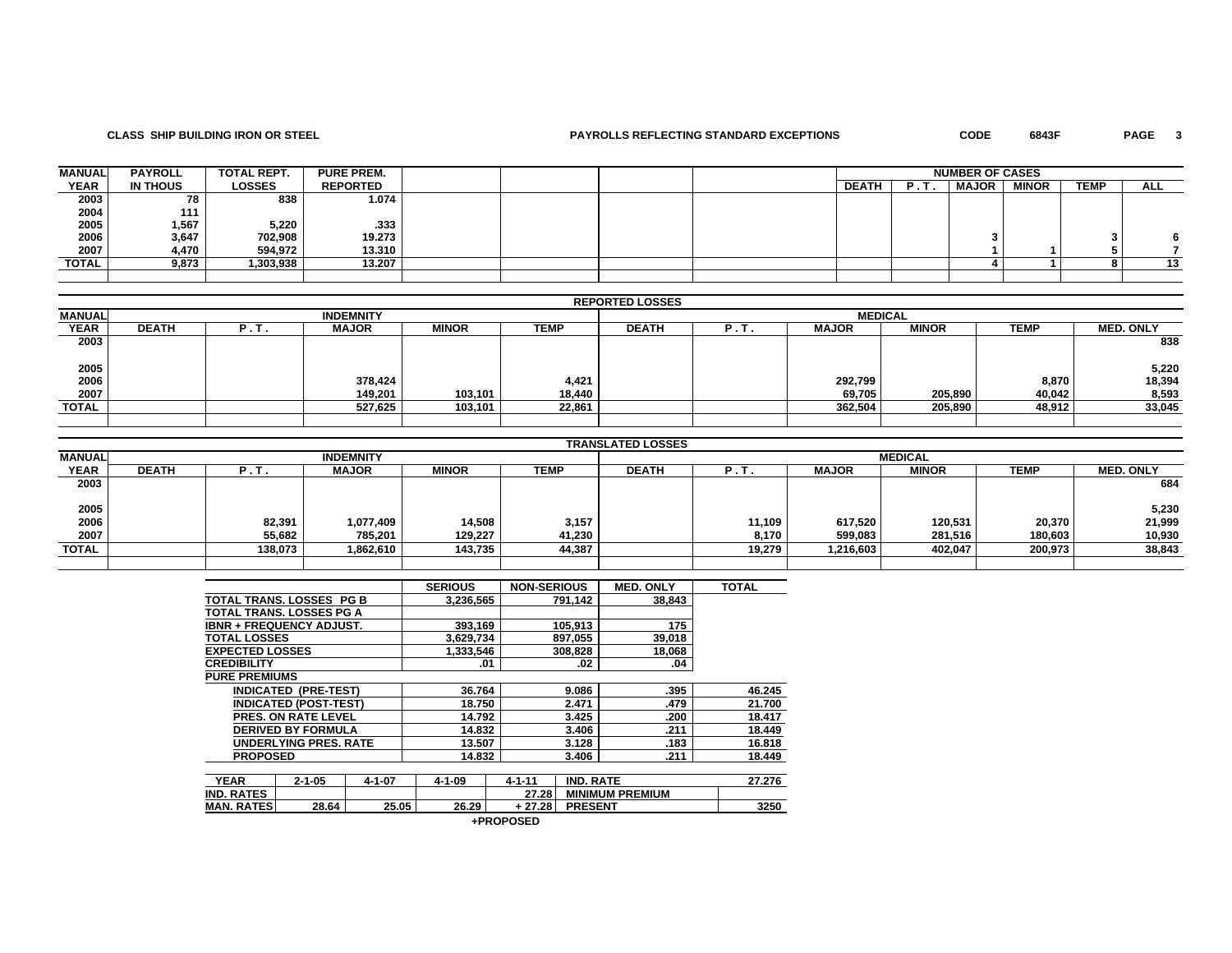### **CLASS SHIP BUILDING IRON OR STEEL PAYROLLS REFLECTING STANDARD EXCEPTIONS CODE 6843F PAGE 3**

PAGE 3

| <b>MANUAL</b> | <b>PAYROLL</b> | <b>TOTAL REPT.</b> | <b>PURE PREM.</b> |  |  |              |    | <b>NUMBER OF CASES</b> |              |             |            |
|---------------|----------------|--------------------|-------------------|--|--|--------------|----|------------------------|--------------|-------------|------------|
| <b>YEAR</b>   | IN THOUS       | <b>LOSSES</b>      | <b>REPORTED</b>   |  |  | <b>DEATH</b> | в. | <b>MAJOR</b>           | <b>MINOR</b> | <b>TEMP</b> | <b>ALL</b> |
| 2003          | 78             | 838                | 1.074             |  |  |              |    |                        |              |             |            |
| 2004          | 111            |                    |                   |  |  |              |    |                        |              |             |            |
| 2005          | 1,567          | 5,220              | .333              |  |  |              |    |                        |              |             |            |
| 2006          | 3,647          | 702.908            | 19.273            |  |  |              |    |                        |              |             |            |
| 2007          | 4.470          | 594.972            | 13.310            |  |  |              |    |                        |              |             |            |
| TOTAL         | 9,873          | 1,303,938          | 13.207            |  |  |              |    |                        |              |             |            |
|               |                |                    |                   |  |  |              |    |                        |              |             |            |

### **REPORTED LOSSES**

|               |              |   |                  |              |             | ____         |      |                |              |             |                  |
|---------------|--------------|---|------------------|--------------|-------------|--------------|------|----------------|--------------|-------------|------------------|
| <b>MANUAL</b> |              |   | <b>INDEMNITY</b> |              |             |              |      | <b>MEDICAL</b> |              |             |                  |
| <b>YEAR</b>   | <b>DEATH</b> | . | <b>MAJOR</b>     | <b>MINOR</b> | <b>TEMP</b> | <b>DEATH</b> | P.T. | <b>MAJOR</b>   | <b>MINOR</b> | <b>TEMP</b> | <b>MED. ONLY</b> |
| 2003          |              |   |                  |              |             |              |      |                |              |             | 838              |
| 2005          |              |   |                  |              |             |              |      |                |              |             | 5,220            |
| 2006          |              |   | 378,424          |              | 4,421       |              |      | 292,799        |              | 8,870       | 18,394           |
| 2007          |              |   | 149,201          | 103,101      | 18,440      |              |      | 69,705         | 205,890      | 40,042      | 8,593            |
| <b>TOTAL</b>  |              |   | 527,625          | 103,101      | 22,861      |              |      | 362,504        | 205,890      | 48,912      | 33,045           |
|               |              |   |                  |              |             |              |      |                |              |             |                  |

|               |              |         |                  |              |             | <b>TRANSLATED LOSSES</b> |        |              |                |             |                  |
|---------------|--------------|---------|------------------|--------------|-------------|--------------------------|--------|--------------|----------------|-------------|------------------|
| <b>MANUAL</b> |              |         | <b>INDEMNITY</b> |              |             |                          |        |              | <b>MEDICAL</b> |             |                  |
| <b>YEAR</b>   | <b>DEATH</b> | P.T.    | <b>MAJOR</b>     | <b>MINOR</b> | <b>TEMP</b> | <b>DEATH</b>             | P.T.   | <b>MAJOR</b> | <b>MINOR</b>   | <b>TEMP</b> | <b>MED. ONLY</b> |
| 2003          |              |         |                  |              |             |                          |        |              |                |             | 684              |
| 2005          |              |         |                  |              |             |                          |        |              |                |             | 5,230            |
| 2006          |              | 82,391  | 1,077,409        | 14.508       | 3,157       |                          | 11,109 | 617,520      | 120,531        | 20,370      | 21,999           |
| 2007          |              | 55,682  | 785,201          | 129,227      | 41,230      |                          | 8,170  | 599,083      | 281,516        | 180,603     | 10,930           |
| <b>TOTAL</b>  |              | 138,073 | 862,610.         | 143,735      | 44,387      |                          | 19.279 | 1,216,603    | 402.047        | 200,973     | 38,843           |
|               |              |         |                  |              |             |                          |        |              |                |             |                  |

|                                 |                              |              | <b>SERIOUS</b> | <b>NON-SERIOUS</b> |                  | <b>MED. ONLY</b>       | <b>TOTAL</b> |
|---------------------------------|------------------------------|--------------|----------------|--------------------|------------------|------------------------|--------------|
| TOTAL TRANS, LOSSES PG B        |                              |              | 3,236,565      |                    | 791.142          | 38.843                 |              |
| TOTAL TRANS, LOSSES PG A        |                              |              |                |                    |                  |                        |              |
| <b>IBNR + FREQUENCY ADJUST.</b> |                              |              | 393.169        |                    | 105,913          | 175                    |              |
| <b>TOTAL LOSSES</b>             |                              |              | 3,629,734      |                    | 897,055          | 39,018                 |              |
| <b>EXPECTED LOSSES</b>          |                              |              | 1,333,546      |                    | 308,828          | 18,068                 |              |
| <b>CREDIBILITY</b>              |                              |              | .01            |                    | .02              | .04                    |              |
| <b>PURE PREMIUMS</b>            |                              |              |                |                    |                  |                        |              |
|                                 | <b>INDICATED (PRE-TEST)</b>  |              | 36.764         |                    | 9.086            | .395                   | 46.245       |
|                                 | <b>INDICATED (POST-TEST)</b> |              | 18.750         |                    | 2.471            | .479                   | 21.700       |
|                                 | <b>PRES. ON RATE LEVEL</b>   |              | 14.792         |                    | 3.425            | .200                   | 18.417       |
|                                 | <b>DERIVED BY FORMULA</b>    |              | 14.832         |                    | 3.406            | .211                   | 18.449       |
|                                 | <b>UNDERLYING PRES, RATE</b> |              | 13.507         |                    | 3.128            | .183                   | 16.818       |
| <b>PROPOSED</b>                 |                              |              | 14.832         |                    | 3.406            | .211                   | 18.449       |
|                                 |                              |              |                |                    |                  |                        |              |
| <b>YEAR</b>                     | $2 - 1 - 05$                 | $4 - 1 - 07$ | $4 - 1 - 09$   | $4 - 1 - 11$       | <b>IND. RATE</b> |                        | 27.276       |
| <b>IND. RATES</b>               |                              |              |                | 27.28              |                  | <b>MINIMUM PREMIUM</b> |              |
| <b>MAN. RATES</b>               | 28.64                        | 25.05        | 26.29          | + 27.28            | <b>PRESENT</b>   |                        | 3250         |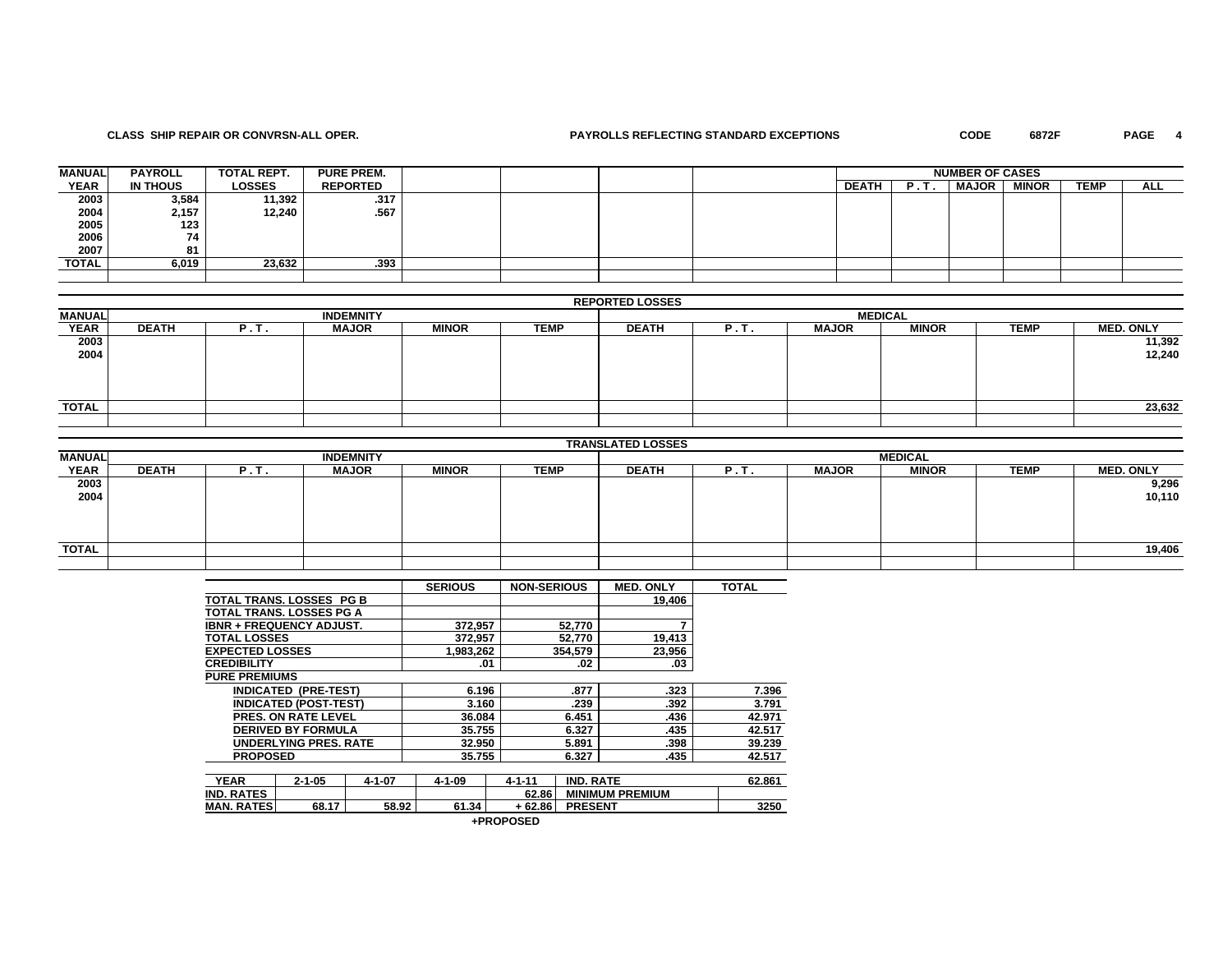### **CLASS SHIP REPAIR OR CONVRSN-ALL OPER. PAYROLLS REFLECTING STANDARD EXCEPTIONS CODE 6872F PAGE 4**

PAGE 4

| <b>MANUAL</b> | <b>PAYROLL</b> | <b>TOTAL REPT.</b> | <b>PURE PREM.</b> |  |  |              |     | <b>NUMBER OF CASES</b> |              |             |            |
|---------------|----------------|--------------------|-------------------|--|--|--------------|-----|------------------------|--------------|-------------|------------|
| <b>YEAR</b>   | IN THOUS       | <b>LOSSES</b>      | <b>REPORTED</b>   |  |  | <b>DEATH</b> | . . | <b>MAJOR</b>           | <b>MINOR</b> | <b>TEMP</b> | <b>ALL</b> |
| 2003          | 3,584          | 11,392             | .317              |  |  |              |     |                        |              |             |            |
|               | 2,157          | 12,240             | .567              |  |  |              |     |                        |              |             |            |
| 2004<br>2005  | 123            |                    |                   |  |  |              |     |                        |              |             |            |
| 2006          | 74             |                    |                   |  |  |              |     |                        |              |             |            |
| 2007          | 81             |                    |                   |  |  |              |     |                        |              |             |            |
| TOTAL         | 6,019          | 23.632             | .393              |  |  |              |     |                        |              |             |            |
|               |                |                    |                   |  |  |              |     |                        |              |             |            |

### **REPORTED LOSSES**

| MANUAL       |              |      | <b>INDEMNITY</b> |              |             | <b>MEDICAL</b> |   |              |              |             |                  |
|--------------|--------------|------|------------------|--------------|-------------|----------------|---|--------------|--------------|-------------|------------------|
| <b>YEAR</b>  | <b>DEATH</b> | P.T. | <b>MAJOR</b>     | <b>MINOR</b> | <b>TEMP</b> | <b>DEATH</b>   | . | <b>MAJOR</b> | <b>MINOR</b> | <b>TEMP</b> | <b>MED. ONLY</b> |
| 2003         |              |      |                  |              |             |                |   |              |              |             | 11,392           |
| 2004         |              |      |                  |              |             |                |   |              |              |             | 12,240           |
|              |              |      |                  |              |             |                |   |              |              |             |                  |
|              |              |      |                  |              |             |                |   |              |              |             |                  |
|              |              |      |                  |              |             |                |   |              |              |             |                  |
| <b>TOTAL</b> |              |      |                  |              |             |                |   |              |              |             | 23,632           |
|              |              |      |                  |              |             |                |   |              |              |             |                  |

|               |              |      |                  |              |             | <b>TRANSLATED LOSSES</b> |      |              |                |             |                  |
|---------------|--------------|------|------------------|--------------|-------------|--------------------------|------|--------------|----------------|-------------|------------------|
| <b>MANUAL</b> |              |      | <b>INDEMNITY</b> |              |             |                          |      |              | <b>MEDICAL</b> |             |                  |
| <b>YEAR</b>   | <b>DEATH</b> | P.T. | <b>MAJOR</b>     | <b>MINOR</b> | <b>TEMP</b> | <b>DEATH</b>             | P.T. | <b>MAJOR</b> | <b>MINOR</b>   | <b>TEMP</b> | <b>MED. ONLY</b> |
| 2003          |              |      |                  |              |             |                          |      |              |                |             | 9,296            |
| 2004          |              |      |                  |              |             |                          |      |              |                |             | 10,110           |
|               |              |      |                  |              |             |                          |      |              |                |             |                  |
|               |              |      |                  |              |             |                          |      |              |                |             |                  |
|               |              |      |                  |              |             |                          |      |              |                |             |                  |
| <b>TOTAL</b>  |              |      |                  |              |             |                          |      |              |                |             | 19,406           |
|               |              |      |                  |              |             |                          |      |              |                |             |                  |

|                                 |                              |              | <b>SERIOUS</b> | <b>NON-SERIOUS</b> |                  | <b>MED. ONLY</b>       | <b>TOTAL</b> |
|---------------------------------|------------------------------|--------------|----------------|--------------------|------------------|------------------------|--------------|
| TOTAL TRANS. LOSSES PG B        |                              |              |                |                    |                  | 19.406                 |              |
| <b>TOTAL TRANS, LOSSES PG A</b> |                              |              |                |                    |                  |                        |              |
| <b>IBNR + FREQUENCY ADJUST.</b> |                              |              | 372.957        |                    | 52,770           | 7                      |              |
| <b>TOTAL LOSSES</b>             |                              |              | 372.957        |                    | 52.770           | 19,413                 |              |
| <b>EXPECTED LOSSES</b>          |                              |              | 1,983,262      |                    | 354.579          | 23,956                 |              |
| <b>CREDIBILITY</b>              |                              |              |                | .01                | .02              | .03                    |              |
| <b>PURE PREMIUMS</b>            |                              |              |                |                    |                  |                        |              |
|                                 | <b>INDICATED (PRE-TEST)</b>  |              | 6.196          |                    | .877             | .323                   | 7.396        |
|                                 | <b>INDICATED (POST-TEST)</b> |              | 3.160          |                    | .239             | .392                   | 3.791        |
|                                 | <b>PRES. ON RATE LEVEL</b>   |              | 36.084         |                    | 6.451            | .436                   | 42.971       |
|                                 | <b>DERIVED BY FORMULA</b>    |              | 35.755         |                    | 6.327            | .435                   | 42.517       |
|                                 | <b>UNDERLYING PRES, RATE</b> |              | 32.950         |                    | 5.891            | .398                   | 39.239       |
| <b>PROPOSED</b>                 |                              |              | 35.755         |                    | 6.327            | .435                   | 42.517       |
|                                 |                              |              |                |                    |                  |                        |              |
| <b>YEAR</b>                     | $2 - 1 - 05$                 | $4 - 1 - 07$ | $4 - 1 - 09$   | $4 - 1 - 11$       | <b>IND. RATE</b> |                        | 62.861       |
| <b>IND. RATES</b>               |                              |              |                | 62.86              |                  | <b>MINIMUM PREMIUM</b> |              |
| <b>MAN. RATES</b>               | 68.17                        | 58.92        | 61.34          | + 62.86            | <b>PRESENT</b>   |                        | 3250         |

|  |  | +PROPOSED |
|--|--|-----------|
|--|--|-----------|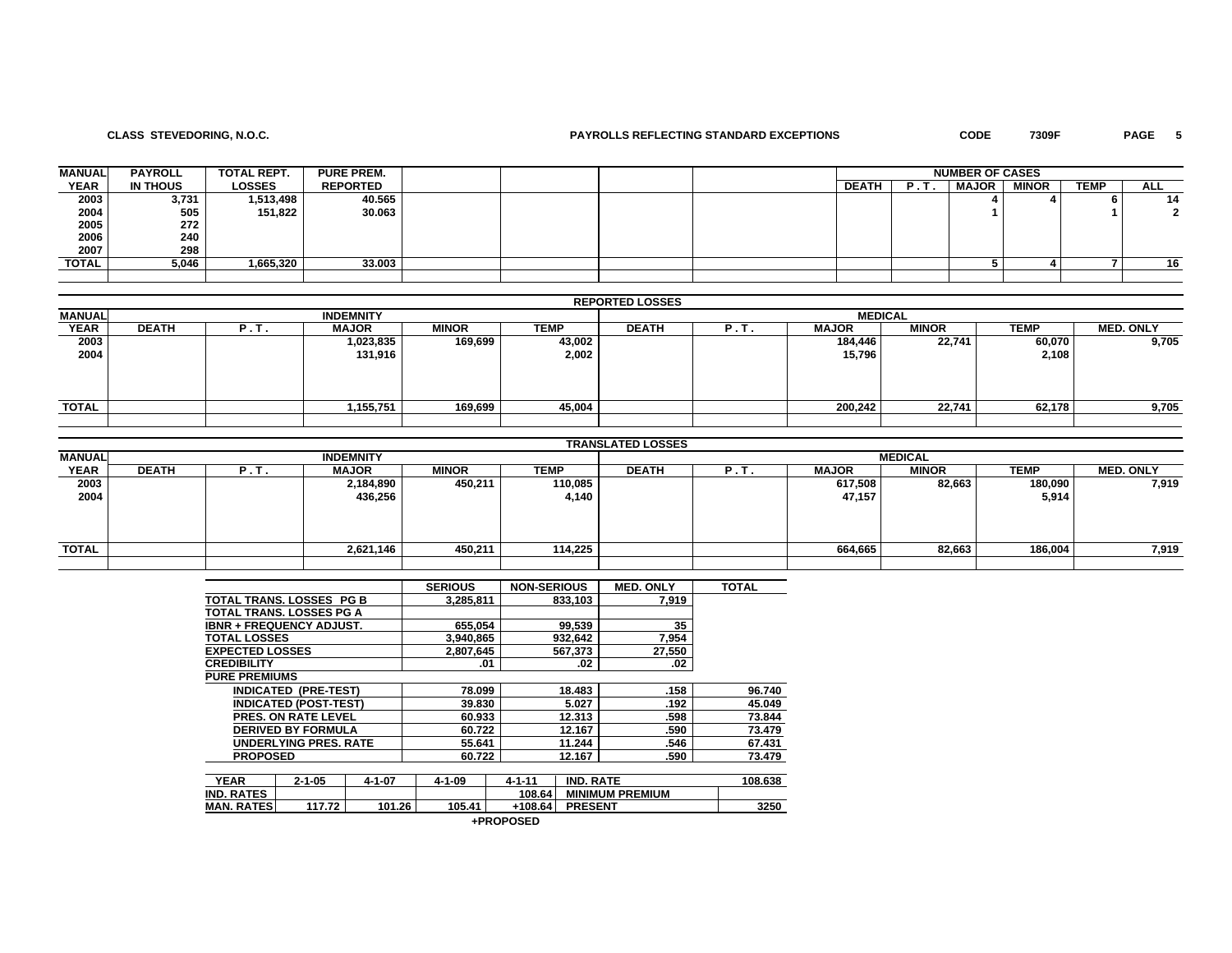## **CLASS STEVEDORING, N.O.C. PAYROLLS REFLECTING STANDARD EXCEPTIONS CODE 7309F PAGE 5**

| <b>MANUAL</b> | <b>PAYROLL</b> | TOTAL REPT.   | <b>PURE PREM.</b> |  |  |              |     | <b>NUMBER OF CASES</b> |              |             |            |
|---------------|----------------|---------------|-------------------|--|--|--------------|-----|------------------------|--------------|-------------|------------|
| <b>YEAR</b>   | IN THOUS       | <b>LOSSES</b> | <b>REPORTED</b>   |  |  | <b>DEATH</b> | . . | <b>MAJOR</b>           | <b>MINOR</b> | <b>TEMP</b> | <b>ALL</b> |
| 2003          | 3,731          | 1,513,498     | 40.565            |  |  |              |     |                        |              |             | 14         |
| 2004          | 505            | 151,822       | 30.063            |  |  |              |     |                        |              |             |            |
| 2005          | 272            |               |                   |  |  |              |     |                        |              |             |            |
| 2006          | 240            |               |                   |  |  |              |     |                        |              |             |            |
| 2007          | 298            |               |                   |  |  |              |     |                        |              |             |            |
| TOTAL         | 5,046          | 1,665,320     | 33.003            |  |  |              |     |                        |              |             | 16         |
|               |                |               |                   |  |  |              |     |                        |              |             |            |

|               | <b>REPORTED LOSSES</b> |      |                  |              |             |              |      |              |                |             |                  |  |  |  |  |
|---------------|------------------------|------|------------------|--------------|-------------|--------------|------|--------------|----------------|-------------|------------------|--|--|--|--|
| <b>MANUAL</b> |                        |      | <b>INDEMNITY</b> |              |             |              |      |              | <b>MEDICAL</b> |             |                  |  |  |  |  |
| <b>YEAR</b>   | <b>DEATH</b>           | P.T. | <b>MAJOR</b>     | <b>MINOR</b> | <b>TEMP</b> | <b>DEATH</b> | P.T. | <b>MAJOR</b> | <b>MINOR</b>   | <b>TEMP</b> | <b>MED. ONLY</b> |  |  |  |  |
| 2003          |                        |      | 1,023,835        | 169,699      | 43,002      |              |      | 184,446      | 22,741         | 60,070      | 9,705            |  |  |  |  |
| 2004          |                        |      | 131,916          |              | 2,002       |              |      | 15,796       |                | 2,108       |                  |  |  |  |  |
|               |                        |      |                  |              |             |              |      |              |                |             |                  |  |  |  |  |
|               |                        |      |                  |              |             |              |      |              |                |             |                  |  |  |  |  |
|               |                        |      |                  |              |             |              |      |              |                |             |                  |  |  |  |  |
| <b>TOTAL</b>  |                        |      | 1,155,751        | 169,699      | 45,004      |              |      | 200.242      | 22.741         | 62,178      | 9,705            |  |  |  |  |
|               |                        |      |                  |              |             |              |      |              |                |             |                  |  |  |  |  |

|               |              |      |                  |              |             | <b>TRANSLATED LOSSES</b> |      |              |                |             |                  |
|---------------|--------------|------|------------------|--------------|-------------|--------------------------|------|--------------|----------------|-------------|------------------|
| <b>MANUAL</b> |              |      | <b>INDEMNITY</b> |              |             |                          |      |              | <b>MEDICAL</b> |             |                  |
| <b>YEAR</b>   | <b>DEATH</b> | P.T. | <b>MAJOR</b>     | <b>MINOR</b> | <b>TEMP</b> | <b>DEATH</b>             | P.T. | <b>MAJOR</b> | <b>MINOR</b>   | <b>TEMP</b> | <b>MED. ONLY</b> |
| 2003          |              |      | 2,184,890        | 450,211      | 110,085     |                          |      | 617,508      | 82,663         | 180,090     | 7,919            |
| 2004          |              |      | 436,256          |              | 4,140       |                          |      | 47,157       |                | 5,914       |                  |
|               |              |      |                  |              |             |                          |      |              |                |             |                  |
|               |              |      |                  |              |             |                          |      |              |                |             |                  |
|               |              |      |                  |              |             |                          |      |              |                |             |                  |
| TOTAL         |              |      | 2,621,146        | 450,211      | 114,225     |                          |      | 664,665      | 82,663         | 186,004     | 7,919            |
|               |              |      |                  |              |             |                          |      |              |                |             |                  |

|                                 |                                 |              | <b>SERIOUS</b> | <b>NON-SERIOUS</b> |                  | <b>MED. ONLY</b>       | <b>TOTAL</b> |
|---------------------------------|---------------------------------|--------------|----------------|--------------------|------------------|------------------------|--------------|
| <b>TOTAL TRANS, LOSSES PG B</b> |                                 |              | 3,285,811      |                    | 833,103          | 7,919                  |              |
|                                 | TOTAL TRANS. LOSSES PG A        |              |                |                    |                  |                        |              |
|                                 | <b>IBNR + FREQUENCY ADJUST.</b> |              | 655,054        |                    | 99,539           | 35                     |              |
| <b>TOTAL LOSSES</b>             |                                 |              | 3,940,865      |                    | 932,642          | 7,954                  |              |
| <b>EXPECTED LOSSES</b>          |                                 |              | 2,807,645      |                    | 567,373          | 27,550                 |              |
| <b>CREDIBILITY</b>              |                                 |              | .01            |                    | .02              | .02                    |              |
| <b>PURE PREMIUMS</b>            |                                 |              |                |                    |                  |                        |              |
|                                 | <b>INDICATED (PRE-TEST)</b>     |              | 78.099         |                    | 18.483           | .158                   | 96.740       |
|                                 | <b>INDICATED (POST-TEST)</b>    |              | 39.830         |                    | 5.027            | .192                   | 45.049       |
|                                 | <b>PRES. ON RATE LEVEL</b>      |              | 60.933         |                    | 12.313           | .598                   | 73.844       |
|                                 | <b>DERIVED BY FORMULA</b>       |              | 60.722         |                    | 12.167           | .590                   | 73.479       |
|                                 | <b>UNDERLYING PRES, RATE</b>    |              | 55.641         |                    | 11.244           | .546                   | 67.431       |
| <b>PROPOSED</b>                 |                                 |              | 60.722         |                    | 12.167           | .590                   | 73.479       |
|                                 |                                 |              |                |                    |                  |                        |              |
| <b>YEAR</b>                     | $2 - 1 - 05$                    | $4 - 1 - 07$ | $4 - 1 - 09$   | $4 - 1 - 11$       | <b>IND. RATE</b> |                        | 108.638      |
| <b>IND. RATES</b>               |                                 |              |                | 108.64             |                  | <b>MINIMUM PREMIUM</b> |              |
| <b>MAN. RATES</b>               | 117.72                          | 101.26       | 105.41         | +108.64            | <b>PRESENT</b>   |                        | 3250         |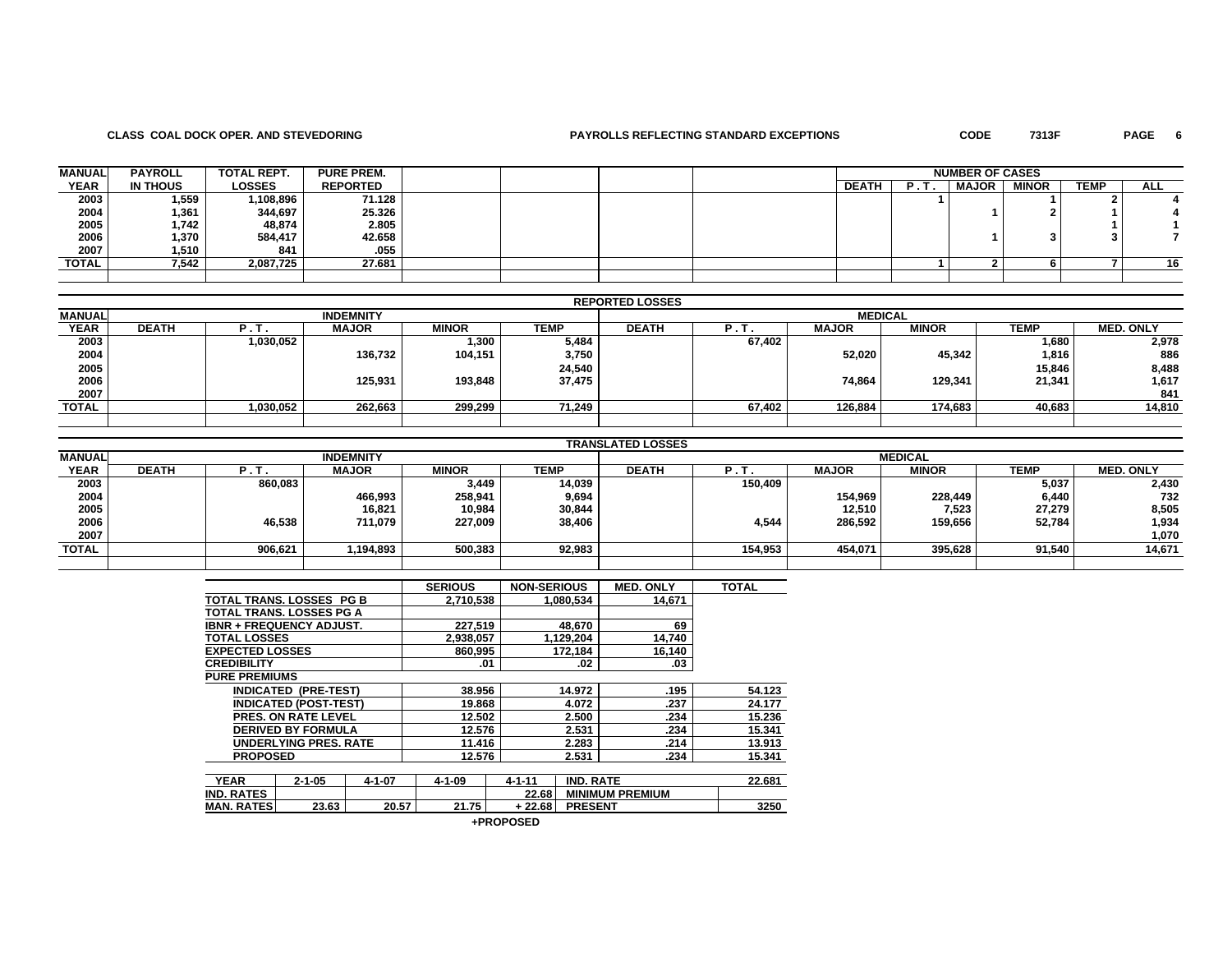### **CLASS COAL DOCK OPER. AND STEVEDORING PAYROLLS REFLECTING STANDARD EXCEPTIONS CODE 7313F PAGE 6**

PAGE 6

| <b>MANUAL</b> | <b>PAYROLL</b>  | TOTAL REPT. | <b>PURE PREM.</b> |  |  |              |     | <b>NUMBER OF CASES</b> |              |             |            |
|---------------|-----------------|-------------|-------------------|--|--|--------------|-----|------------------------|--------------|-------------|------------|
| <b>YEAR</b>   | <b>IN THOUS</b> | LOSSES      | <b>REPORTED</b>   |  |  | <b>DEATH</b> | . . | <b>MAJOR</b>           | <b>MINOR</b> | <b>TEMP</b> | <b>ALL</b> |
| 2003          | 1,559           | 1,108,896   | 71.128            |  |  |              |     |                        |              |             |            |
| 2004          | 1,361           | 344,697     | 25.326            |  |  |              |     |                        |              |             |            |
| 2005          | 1,742           | 48,874      | 2.805             |  |  |              |     |                        |              |             |            |
| 2006          | 1,370           | 584,417     | 42.658            |  |  |              |     |                        |              |             |            |
| 2007          | 1,510           | 841         | .055              |  |  |              |     |                        |              |             |            |
| TOTAL         | 7,542           | 2,087,725   | 27.681            |  |  |              |     |                        |              |             |            |
|               |                 |             |                   |  |  |              |     |                        |              |             |            |

|               |              |           |                  |              |        | <b>REPORTED LOSSES</b> |          |              |                |             |                  |
|---------------|--------------|-----------|------------------|--------------|--------|------------------------|----------|--------------|----------------|-------------|------------------|
| <b>MANUAL</b> |              |           | <b>INDEMNITY</b> |              |        |                        |          |              | <b>MEDICAL</b> |             |                  |
| <b>YEAR</b>   | <b>DEATH</b> | Ч.Τ.      | <b>MAJOR</b>     | <b>MINOR</b> | TEMP   | <b>DEATH</b>           | $P_{11}$ | <b>MAJOR</b> | <b>MINOR</b>   | <b>TEMP</b> | <b>MED. ONLY</b> |
| 2003          |              | 1,030,052 |                  | 1,300        | 5,484  |                        | 67,402   |              |                | 1,680       | 2,978            |
| 2004          |              |           | 136,732          | 104,151      | 3,750  |                        |          | 52,020       | 45,342         | 1,816       | 886              |
| 2005          |              |           |                  |              | 24,540 |                        |          |              |                | 15,846      | 8,488            |
| 2006          |              |           | 125,931          | 193.848      | 37,475 |                        |          | 74,864       | 129,341        | 21,341      | 1,617            |
| 2007          |              |           |                  |              |        |                        |          |              |                |             | 841              |
| <b>TOTAL</b>  |              | 1,030,052 | 262,663          | 299,299      | 71,249 |                        | 67,402   | 126,884      | 174,683        | 40,683      | 14,810           |
|               |              |           |                  |              |        |                        |          |              |                |             |                  |

|               |              |         |                  |              |             | <b>TRANSLATED LOSSES</b> |         |              |                |        |                  |
|---------------|--------------|---------|------------------|--------------|-------------|--------------------------|---------|--------------|----------------|--------|------------------|
| <b>MANUAL</b> |              |         | <b>INDEMNITY</b> |              |             |                          |         |              | <b>MEDICAL</b> |        |                  |
| <b>YEAR</b>   | <b>DEATH</b> |         | <b>MAJOR</b>     | <b>MINOR</b> | <b>TEMP</b> | <b>DEATH</b>             | . .     | <b>MAJOR</b> | <b>MINOR</b>   | TEMP   | <b>MED. ONLY</b> |
| 2003          |              | 860,083 |                  | 3,449        | 14,039      |                          | 150.409 |              |                | 5,037  | 2,430            |
| 2004          |              |         | 466,993          | 258,941      | 9,694       |                          |         | 154,969      | 228,449        | 6,440  | 732              |
| 2005          |              |         | 16,821           | 10,984       | 30,844      |                          |         | 12,510       | 7,523          | 27,279 | 8,505            |
| 2006          |              | 46,538  | 711,079          | 227,009      | 38,406      |                          | 4,544   | 286,592      | 159,656        | 52,784 | 1,934            |
| 2007          |              |         |                  |              |             |                          |         |              |                |        | 1,070            |
| TOTAL         |              | 906.621 | 1,194,893        | 500,383      | 92,983      |                          | 154,953 | 454.071      | 395,628        | 91.540 | 14,671           |
|               |              |         |                  |              |             |                          |         |              |                |        |                  |

|                                 |                              |              | <b>SERIOUS</b> | <b>NON-SERIOUS</b> | <b>MED. ONLY</b>       | <b>TOTAL</b> |
|---------------------------------|------------------------------|--------------|----------------|--------------------|------------------------|--------------|
| <b>TOTAL TRANS, LOSSES PG B</b> |                              |              | 2.710.538      | 1.080.534          | 14.671                 |              |
| <b>TOTAL TRANS, LOSSES PG A</b> |                              |              |                |                    |                        |              |
| <b>IBNR + FREQUENCY ADJUST.</b> |                              |              | 227.519        | 48.670             | 69                     |              |
| <b>TOTAL LOSSES</b>             |                              |              | 2,938,057      | 1,129,204          | 14,740                 |              |
| <b>EXPECTED LOSSES</b>          |                              |              | 860,995        | 172,184            | 16,140                 |              |
| <b>CREDIBILITY</b>              |                              |              | .01            | .02                | .03                    |              |
| <b>PURE PREMIUMS</b>            |                              |              |                |                    |                        |              |
|                                 | <b>INDICATED (PRE-TEST)</b>  |              | 38.956         | 14.972             | .195                   | 54.123       |
|                                 | <b>INDICATED (POST-TEST)</b> |              | 19.868         | 4.072              | .237                   | 24.177       |
|                                 | <b>PRES. ON RATE LEVEL</b>   |              | 12.502         | 2.500              | .234                   | 15.236       |
|                                 | <b>DERIVED BY FORMULA</b>    |              | 12.576         | 2.531              | .234                   | 15.341       |
|                                 | <b>UNDERLYING PRES, RATE</b> |              | 11.416         | 2.283              | .214                   | 13.913       |
| <b>PROPOSED</b>                 |                              |              | 12.576         | 2.531              | .234                   | 15.341       |
|                                 |                              |              |                |                    |                        |              |
| <b>YEAR</b>                     | $2 - 1 - 05$                 | $4 - 1 - 07$ | $4 - 1 - 09$   | $4 - 1 - 11$       | <b>IND. RATE</b>       | 22.681       |
| <b>IND. RATES</b>               |                              |              |                | 22.68              | <b>MINIMUM PREMIUM</b> |              |
| <b>MAN. RATES</b>               | 23.63                        | 20.57        | 21.75          | $+22.68$           | <b>PRESENT</b>         | 3250         |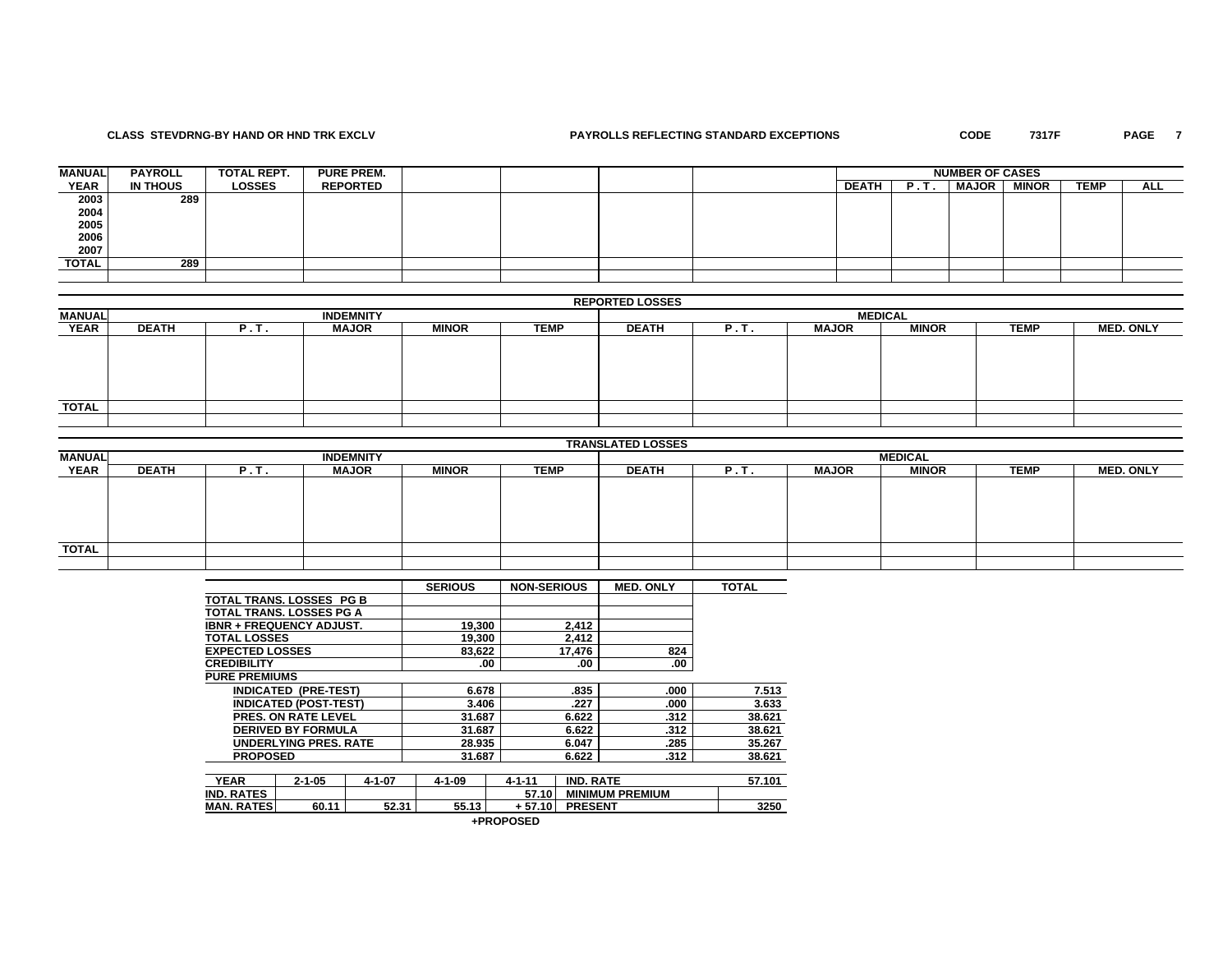## **CLASS STEVDRNG-BY HAND OR HND TRK EXCLV PAYROLLS REFLECTING STANDARD EXCEPTIONS CODE 7317F PAGE 7**

PAGE 7

| <b>MANUAL</b> | <b>PAYROLL</b> | TOTAL REPT.   | <b>PURE PREM.</b> |  |  | <b>NUMBER OF CASES</b> |  |              |              |             |     |
|---------------|----------------|---------------|-------------------|--|--|------------------------|--|--------------|--------------|-------------|-----|
| <b>YEAR</b>   | IN THOUS       | <b>LOSSES</b> | <b>REPORTED</b>   |  |  | <b>DEATH</b>           |  | <b>MAJOR</b> | <b>MINOR</b> | <b>TEMP</b> | ALL |
| 2003          | 289            |               |                   |  |  |                        |  |              |              |             |     |
| 2004          |                |               |                   |  |  |                        |  |              |              |             |     |
| 2005          |                |               |                   |  |  |                        |  |              |              |             |     |
| 2006          |                |               |                   |  |  |                        |  |              |              |             |     |
| 2007          |                |               |                   |  |  |                        |  |              |              |             |     |
| TOTAL         | 289            |               |                   |  |  |                        |  |              |              |             |     |
|               |                |               |                   |  |  |                        |  |              |              |             |     |

## **REPORTED LOSSES**

| <b>MANUAL</b> |              |      | <b>INDEMNITY</b> |              |             | <b>MEDICAL</b> |      |              |              |             |                  |  |
|---------------|--------------|------|------------------|--------------|-------------|----------------|------|--------------|--------------|-------------|------------------|--|
| <b>YEAR</b>   | <b>DEATH</b> | P.I. | <b>MAJOR</b>     | <b>MINOR</b> | <b>TEMP</b> | <b>DEATH</b>   | P.T. | <b>MAJOR</b> | <b>MINOR</b> | <b>TEMP</b> | <b>MED. ONLY</b> |  |
|               |              |      |                  |              |             |                |      |              |              |             |                  |  |
|               |              |      |                  |              |             |                |      |              |              |             |                  |  |
|               |              |      |                  |              |             |                |      |              |              |             |                  |  |
|               |              |      |                  |              |             |                |      |              |              |             |                  |  |
|               |              |      |                  |              |             |                |      |              |              |             |                  |  |
| <b>TOTAL</b>  |              |      |                  |              |             |                |      |              |              |             |                  |  |
|               |              |      |                  |              |             |                |      |              |              |             |                  |  |

|               |              |      |                  |              |             | <b>TRANSLATED LOSSES</b> |      |              |              |             |                  |  |  |
|---------------|--------------|------|------------------|--------------|-------------|--------------------------|------|--------------|--------------|-------------|------------------|--|--|
| <b>MANUAL</b> |              |      | <b>INDEMNITY</b> |              |             | <b>MEDICAL</b>           |      |              |              |             |                  |  |  |
| <b>YEAR</b>   | <b>DEATH</b> | P.T. | <b>MAJOR</b>     | <b>MINOR</b> | <b>TEMP</b> | <b>DEATH</b>             | P.T. | <b>MAJOR</b> | <b>MINOR</b> | <b>TEMP</b> | <b>MED. ONLY</b> |  |  |
|               |              |      |                  |              |             |                          |      |              |              |             |                  |  |  |
|               |              |      |                  |              |             |                          |      |              |              |             |                  |  |  |
|               |              |      |                  |              |             |                          |      |              |              |             |                  |  |  |
|               |              |      |                  |              |             |                          |      |              |              |             |                  |  |  |
|               |              |      |                  |              |             |                          |      |              |              |             |                  |  |  |
| <b>TOTAL</b>  |              |      |                  |              |             |                          |      |              |              |             |                  |  |  |
|               |              |      |                  |              |             |                          |      |              |              |             |                  |  |  |

|                                     |                              |              | <b>SERIOUS</b> | <b>NON-SERIOUS</b> |                  | <b>MED. ONLY</b>       | <b>TOTAL</b> |
|-------------------------------------|------------------------------|--------------|----------------|--------------------|------------------|------------------------|--------------|
| <b>TOTAL TRANS, LOSSES PG B</b>     |                              |              |                |                    |                  |                        |              |
| TOTAL TRANS. LOSSES PG A            |                              |              |                |                    |                  |                        |              |
| <b>IBNR + FREQUENCY ADJUST.</b>     |                              |              | 19,300         |                    | 2,412            |                        |              |
| <b>TOTAL LOSSES</b>                 |                              |              | 19,300         |                    | 2,412            |                        |              |
| <b>EXPECTED LOSSES</b>              |                              |              | 83,622         |                    | 17,476           | 824                    |              |
| <b>CREDIBILITY</b>                  |                              |              | .00            |                    | .00              | .00                    |              |
| <b>PURE PREMIUMS</b>                |                              |              |                |                    |                  |                        |              |
| <b>INDICATED</b>                    | (PRE-TEST)                   |              | 6.678          |                    | .835             | .000                   | 7.513        |
|                                     | <b>INDICATED (POST-TEST)</b> |              | 3.406          |                    | .227             | .000                   | 3.633        |
|                                     | <b>PRES. ON RATE LEVEL</b>   |              | 31.687         |                    | 6.622            | .312                   | 38.621       |
|                                     | <b>DERIVED BY FORMULA</b>    |              | 31.687         |                    | 6.622            | .312                   | 38.621       |
|                                     | <b>UNDERLYING PRES. RATE</b> |              | 28.935         |                    | 6.047            | .285                   | 35.267       |
| <b>PROPOSED</b>                     |                              |              | 31.687         |                    | 6.622            | .312                   | 38.621       |
|                                     |                              |              |                |                    |                  |                        |              |
| <b>YEAR</b>                         | $2 - 1 - 05$                 | $4 - 1 - 07$ | $4 - 1 - 09$   | $4 - 1 - 11$       | <b>IND. RATE</b> |                        | 57.101       |
| IND. RATES                          |                              |              |                | 57.10              |                  | <b>MINIMUM PREMIUM</b> |              |
| <b>MAN. RATES</b><br>52.31<br>60.11 |                              |              | 55.13          | + 57.10            | <b>PRESENT</b>   |                        | 3250         |

| +PROPOSED |
|-----------|
|-----------|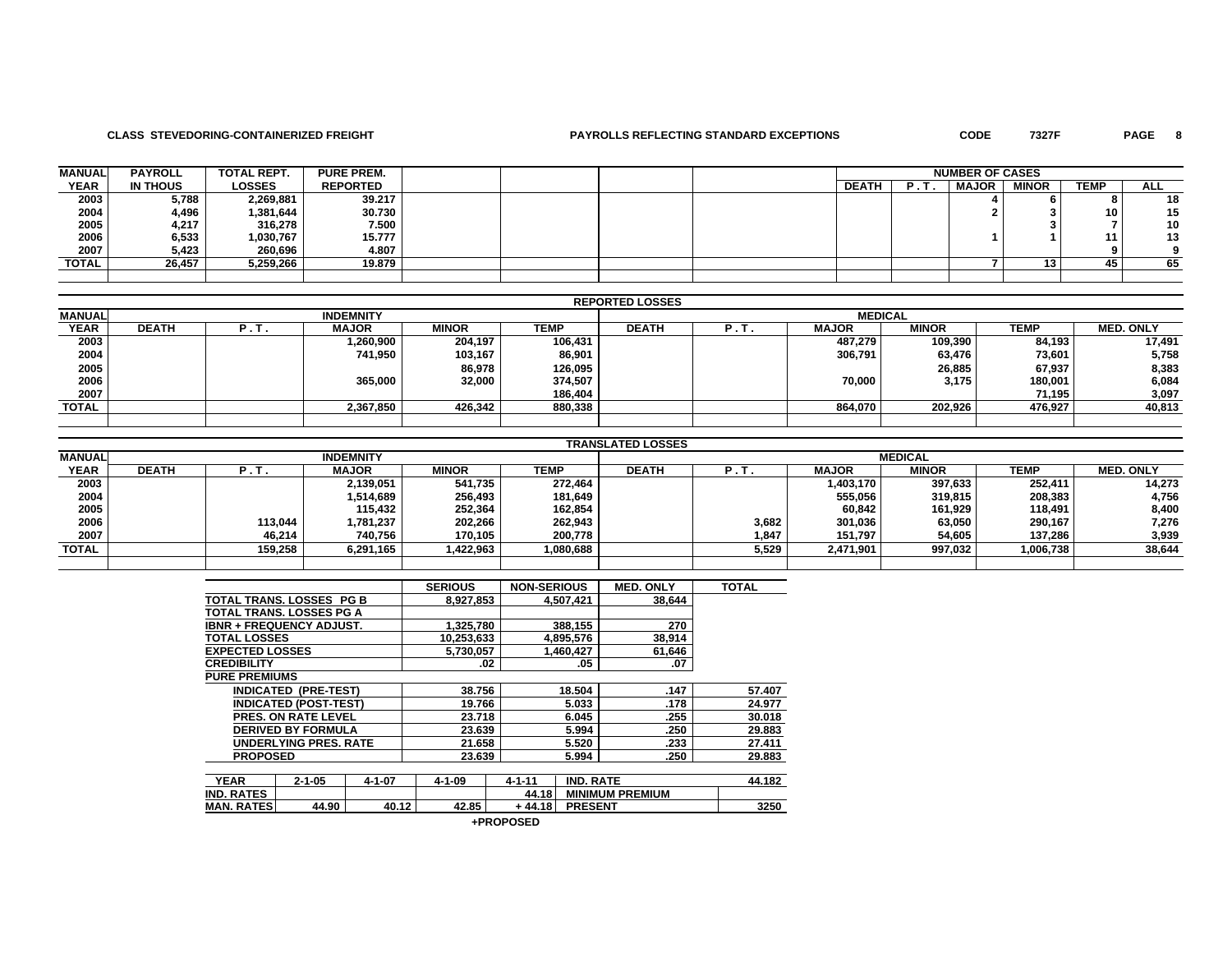### **CLASS STEVEDORING-CONTAINERIZED FREIGHT PAYROLLS REFLECTING STANDARD EXCEPTIONS CODE 7327F PAGE 8**

PAGE 8

| <b>MANUAL</b> | <b>PAYROLL</b> | <b>TOTAL REPT.</b> | <b>PURE PREM.</b> |  |  |              | <b>NUMBER OF CASES</b> |              |              |             |            |
|---------------|----------------|--------------------|-------------------|--|--|--------------|------------------------|--------------|--------------|-------------|------------|
| <b>YEAR</b>   | IN THOUS       | <b>LOSSES</b>      | <b>REPORTED</b>   |  |  | <b>DEATH</b> |                        | <b>MAJOR</b> | <b>MINOR</b> | <b>TEMP</b> | <b>ALL</b> |
| 2003          | 5,788          | 2,269,881          | 39.217            |  |  |              |                        |              |              |             | 18         |
|               | 4,496          | 1,381,644          | 30.730            |  |  |              |                        |              |              | 10          | 15         |
| 2004<br>2005  | 4,217          | 316,278            | 7.500             |  |  |              |                        |              |              |             | 10         |
| 2006          | 6,533          | 1.030.767          | 15.777            |  |  |              |                        |              |              |             | 13         |
| 2007          | 5,423          | 260.696            | 4.807             |  |  |              |                        |              |              |             |            |
| <b>TOTAL</b>  | 26.457         | 5,259,266          | 19.879            |  |  |              |                        |              | IJ           | 45          | 65         |
|               |                |                    |                   |  |  |              |                        |              |              |             |            |

|               |              |      |                  |              |             | <b>REPORTED LOSSES</b> |     |              |              |             |                  |  |
|---------------|--------------|------|------------------|--------------|-------------|------------------------|-----|--------------|--------------|-------------|------------------|--|
| <b>MANUAL</b> |              |      | <b>INDEMNITY</b> |              |             | <b>MEDICAL</b>         |     |              |              |             |                  |  |
| <b>YEAR</b>   | <b>DEATH</b> | P.T. | <b>MAJOR</b>     | <b>MINOR</b> | <b>TEMP</b> | <b>DEATH</b>           | P.T | <b>MAJOR</b> | <b>MINOR</b> | <b>TEMP</b> | <b>MED. ONLY</b> |  |
| 2003          |              |      | 900,000. ا       | 204,197      | 106,431     |                        |     | 487.279      | 109,390      | 84.193      | 17,491           |  |
| 2004          |              |      | 741,950          | 103,167      | 86,901      |                        |     | 306,791      | 63,476       | 73,601      | 5,758            |  |
| 2005          |              |      |                  | 86,978       | 126,095     |                        |     |              | 26,885       | 67,937      | 8,383            |  |
| 2006          |              |      | 365,000          | 32,000       | 374,507     |                        |     | 70,000       | 3,175        | 180,001     | 6,084            |  |
| 2007          |              |      |                  |              | 186,404     |                        |     |              |              | 71.195      | 3,097            |  |
| <b>TOTAL</b>  |              |      | 2,367,850        | 426.342      | 880,338     |                        |     | 864.070      | 202,926      | 476.927     | 40,813           |  |
|               |              |      |                  |              |             |                        |     |              |              |             |                  |  |

|               |              |         |                  |              |           | <b>TRANSLATED LOSSES</b> |       |              |                |             |                  |
|---------------|--------------|---------|------------------|--------------|-----------|--------------------------|-------|--------------|----------------|-------------|------------------|
| <b>MANUAL</b> |              |         | <b>INDEMNITY</b> |              |           |                          |       |              | <b>MEDICAL</b> |             |                  |
| <b>YEAR</b>   | <b>DEATH</b> | . .     | <b>MAJOR</b>     | <b>MINOR</b> | TEMP      | <b>DEATH</b>             |       | <b>MAJOR</b> | <b>MINOR</b>   | <b>TEMP</b> | <b>MED. ONLY</b> |
| 2003          |              |         | 2,139,051        | 541.735      | 272.464   |                          |       | 1,403,170    | 397.633        | 252,411     | 14,273           |
| 2004          |              |         | 1,514,689        | 256,493      | 181,649   |                          |       | 555,056      | 319,815        | 208,383     | 4,756            |
| 2005          |              |         | 115,432          | 252,364      | 162,854   |                          |       | 60,842       | 161,929        | 118,491     | 8,400            |
| 2006          |              | 113,044 | 781,237.         | 202,266      | 262,943   |                          | 3,682 | 301,036      | 63,050         | 290,167     | 7,276            |
| 2007          |              | 46,214  | 740,756          | 170.105      | 200,778   |                          | 1,847 | 151,797      | 54,605         | 137,286     | 3,939            |
| <b>TOTAL</b>  |              | 159,258 | 6,291,165        | 1,422,963    | 1,080,688 |                          | 5,529 | 2,471,901    | 997,032        | 1,006,738   | 38,644           |
|               |              |         |                  |              |           |                          |       |              |                |             |                  |

|                          |                                 |              | <b>SERIOUS</b> | <b>NON-SERIOUS</b> |                  | <b>MED. ONLY</b>       | <b>TOTAL</b> |
|--------------------------|---------------------------------|--------------|----------------|--------------------|------------------|------------------------|--------------|
| TOTAL TRANS, LOSSES PG B |                                 |              | 8,927,853      |                    | 4,507,421        | 38,644                 |              |
|                          | TOTAL TRANS. LOSSES PG A        |              |                |                    |                  |                        |              |
|                          | <b>IBNR + FREQUENCY ADJUST.</b> |              | 1,325,780      |                    | 388,155          | 270                    |              |
| <b>TOTAL LOSSES</b>      |                                 |              | 10,253,633     |                    | 4,895,576        | 38,914                 |              |
| <b>EXPECTED LOSSES</b>   |                                 |              | 5,730,057      |                    | 1,460,427        | 61,646                 |              |
| <b>CREDIBILITY</b>       |                                 |              | .02            |                    | .05              | .07                    |              |
| <b>PURE PREMIUMS</b>     |                                 |              |                |                    |                  |                        |              |
|                          | <b>INDICATED (PRE-TEST)</b>     |              | 38.756         |                    | 18.504           | .147                   | 57.407       |
|                          | <b>INDICATED (POST-TEST)</b>    |              | 19.766         |                    | 5.033            | .178                   | 24.977       |
|                          | <b>PRES. ON RATE LEVEL</b>      |              | 23.718         |                    | 6.045            | .255                   | 30.018       |
|                          | <b>DERIVED BY FORMULA</b>       |              | 23.639         |                    | 5.994            | .250                   | 29,883       |
|                          | <b>UNDERLYING PRES. RATE</b>    |              | 21.658         |                    | 5.520            | .233                   | 27.411       |
| <b>PROPOSED</b>          |                                 |              | 23.639         |                    | 5.994            | .250                   | 29.883       |
|                          |                                 |              |                |                    |                  |                        |              |
| <b>YEAR</b>              | $2 - 1 - 05$                    | $4 - 1 - 07$ | $4 - 1 - 09$   | $4 - 1 - 11$       | <b>IND. RATE</b> |                        | 44.182       |
| <b>IND. RATES</b>        |                                 |              |                | 44.18              |                  | <b>MINIMUM PREMIUM</b> |              |
| <b>MAN. RATES</b>        | 44.90                           | 40.12        | 42.85          | $+44.18$           | <b>PRESENT</b>   |                        | 3250         |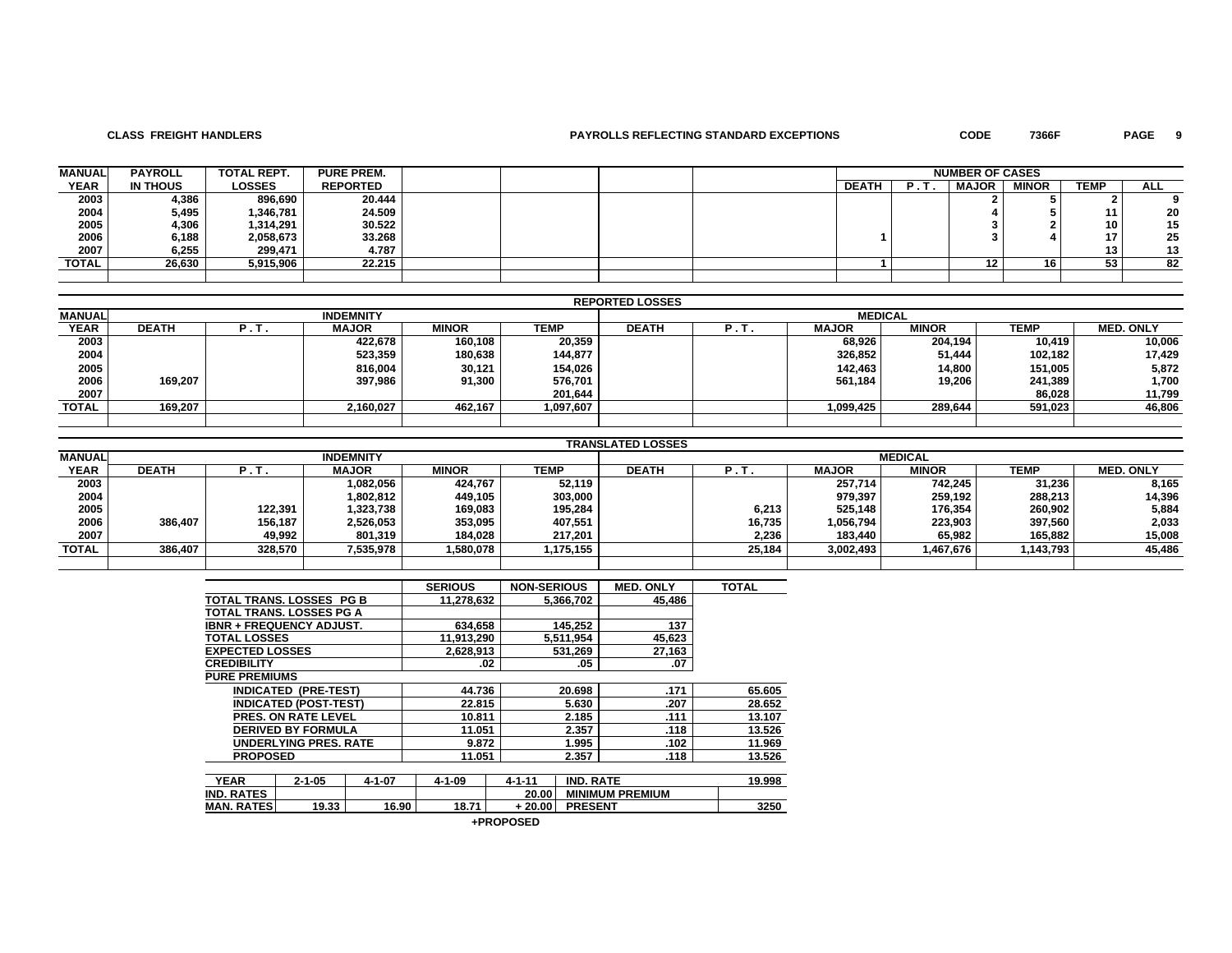## **CLASS FREIGHT HANDLERS PAYROLLS REFLECTING STANDARD EXCEPTIONS CODE 7366F PAGE 9**

PAGE 9

| <b>MANUAL</b> | <b>PAYROLL</b>  | <b>TOTAL REPT.</b> | <b>PURE PREM.</b> |  |  |              | <b>NUMBER OF CASES</b> |              |              |                 |            |
|---------------|-----------------|--------------------|-------------------|--|--|--------------|------------------------|--------------|--------------|-----------------|------------|
| <b>YEAR</b>   | <b>IN THOUS</b> | <b>LOSSES</b>      | <b>REPORTED</b>   |  |  | <b>DEATH</b> | . .<br>-               | <b>MAJOR</b> | <b>MINOR</b> | <b>TEMP</b>     | <b>ALL</b> |
| 2003          | 4,386           | 896,690            | 20.444            |  |  |              |                        |              |              |                 |            |
| 2004          | 5,495           | 1,346,781          | 24.509            |  |  |              |                        |              |              | 11              | 20         |
| 2005          | 4,306           | 1,314,291          | 30.522            |  |  |              |                        |              |              | 10              | 15         |
| 2006          | 6,188           | 2,058,673          | 33.268            |  |  |              |                        |              |              | 17 <sub>1</sub> | 25         |
| 2007          | 6,255           | 299,471            | 4.787             |  |  |              |                        |              |              | 13 <sub>1</sub> | 13         |
| <b>TOTAL</b>  | 26,630          | 5,915,906          | 22.215            |  |  |              |                        |              | 16           | 53              | 82         |
|               |                 |                    |                   |  |  |              |                        |              |              |                 |            |

|               |              |                  |                  |              |           | <b>REPORTED LOSSES</b> |     |              |              |             |                  |
|---------------|--------------|------------------|------------------|--------------|-----------|------------------------|-----|--------------|--------------|-------------|------------------|
| <b>MANUAL</b> |              |                  | <b>INDEMNITY</b> |              |           | <b>MEDICAL</b>         |     |              |              |             |                  |
| <b>YEAR</b>   | <b>DEATH</b> | $^{\prime}$ . I. | <b>MAJOR</b>     | <b>MINOR</b> | TEMP      | <b>DEATH</b>           | P.1 | <b>MAJOR</b> | <b>MINOR</b> | <b>TEMP</b> | <b>MED. ONLY</b> |
| 2003          |              |                  | 422,678          | 160.108      | 20,359    |                        |     | 68,926       | 204,194      | 10.419      | 10,006           |
| 2004          |              |                  | 523,359          | 180,638      | 144,877   |                        |     | 326,852      | 51,444       | 102,182     | 17,429           |
| 2005          |              |                  | 816,004          | 30,121       | 154,026   |                        |     | 142,463      | 14,800       | 151,005     | 5,872            |
| 2006          | 169.207      |                  | 397,986          | 91,300       | 576,701   |                        |     | 561.184      | 19,206       | 241,389     | 1,700            |
| 2007          |              |                  |                  |              | 201.644   |                        |     |              |              | 86.028      | 11,799           |
| <b>TOTAL</b>  | 169.207      |                  | 2,160,027        | 462.167      | 1,097,607 |                        |     | 1,099,425    | 289,644      | 591.023     | 46,806           |
|               |              |                  |                  |              |           |                        |     |              |              |             |                  |

|               | <b>TRANSLATED LOSSES</b> |         |                  |              |           |                |        |              |              |           |                  |  |
|---------------|--------------------------|---------|------------------|--------------|-----------|----------------|--------|--------------|--------------|-----------|------------------|--|
| <b>MANUAL</b> |                          |         | <b>INDEMNITY</b> |              |           | <b>MEDICAL</b> |        |              |              |           |                  |  |
| <b>YEAR</b>   | <b>DEATH</b>             | .       | <b>MAJOR</b>     | <b>MINOR</b> | TEMP      | <b>DEATH</b>   |        | <b>MAJOR</b> | <b>MINOR</b> | TEMP      | <b>MED. ONLY</b> |  |
| 2003          |                          |         | 1,082,056        | 424.767      | 52,119    |                |        | 257,714      | 742.245      | 31,236    | 8,165            |  |
| 2004          |                          |         | 1,802,812        | 449.105      | 303,000   |                |        | 979.397      | 259,192      | 288,213   | 14,396           |  |
| 2005          |                          | 122.391 | 1,323,738        | 169.083      | 195,284   |                | 6,213  | 525.148      | 176,354      | 260.902   | 5,884            |  |
| 2006          | 386.407                  | 156,187 | 2,526,053        | 353,095      | 407.551   |                | 16,735 | 1,056,794    | 223,903      | 397,560   | 2,033            |  |
| 2007          |                          | 49.992  | 801,319          | 184.028      | 217,201   |                | 2,236  | 183.440      | 65,982       | 165,882   | 15,008           |  |
| TOTAL         | 386.407                  | 328.570 | 7,535,978        | 1,580,078    | 1,175,155 |                | 25.184 | 3,002,493    | 1,467,676    | 1,143,793 | 45,486           |  |
|               |                          |         |                  |              |           |                |        |              |              |           |                  |  |

|                                 |                              |              | <b>SERIOUS</b> | <b>NON-SERIOUS</b> |                  | <b>MED. ONLY</b>       | <b>TOTAL</b> |
|---------------------------------|------------------------------|--------------|----------------|--------------------|------------------|------------------------|--------------|
| TOTAL TRANS, LOSSES PG B        |                              |              | 11,278,632     |                    | 5.366.702        | 45.486                 |              |
| <b>TOTAL TRANS, LOSSES PG A</b> |                              |              |                |                    |                  |                        |              |
| <b>IBNR + FREQUENCY ADJUST.</b> |                              |              | 634.658        |                    | 145.252          | 137                    |              |
| <b>TOTAL LOSSES</b>             |                              |              | 11,913,290     |                    | 5,511,954        | 45,623                 |              |
| <b>EXPECTED LOSSES</b>          |                              |              | 2,628,913      |                    | 531,269          | 27,163                 |              |
| <b>CREDIBILITY</b>              |                              |              | .02            |                    | .05              | .07                    |              |
| <b>PURE PREMIUMS</b>            |                              |              |                |                    |                  |                        |              |
|                                 | <b>INDICATED (PRE-TEST)</b>  |              | 44.736         |                    | 20.698           | .171                   | 65.605       |
|                                 | <b>INDICATED (POST-TEST)</b> |              | 22.815         |                    | 5.630            | .207                   | 28.652       |
|                                 | <b>PRES. ON RATE LEVEL</b>   |              | 10.811         |                    | 2.185            | .111                   | 13.107       |
|                                 | <b>DERIVED BY FORMULA</b>    |              | 11.051         |                    | 2.357            | .118                   | 13.526       |
|                                 | <b>UNDERLYING PRES, RATE</b> |              | 9.872          |                    | 1.995            | .102                   | 11.969       |
| <b>PROPOSED</b>                 |                              |              | 11.051         |                    | 2.357            | .118                   | 13.526       |
|                                 |                              |              |                |                    |                  |                        |              |
| <b>YEAR</b>                     | $2 - 1 - 05$                 | $4 - 1 - 07$ | $4 - 1 - 09$   | $4 - 1 - 11$       | <b>IND. RATE</b> |                        | 19.998       |
| <b>IND. RATES</b>               |                              |              |                | 20.00              |                  | <b>MINIMUM PREMIUM</b> |              |
| <b>MAN. RATES</b>               | 19.33                        | 16.90        | 18.71          | $+20.00$           | <b>PRESENT</b>   |                        | 3250         |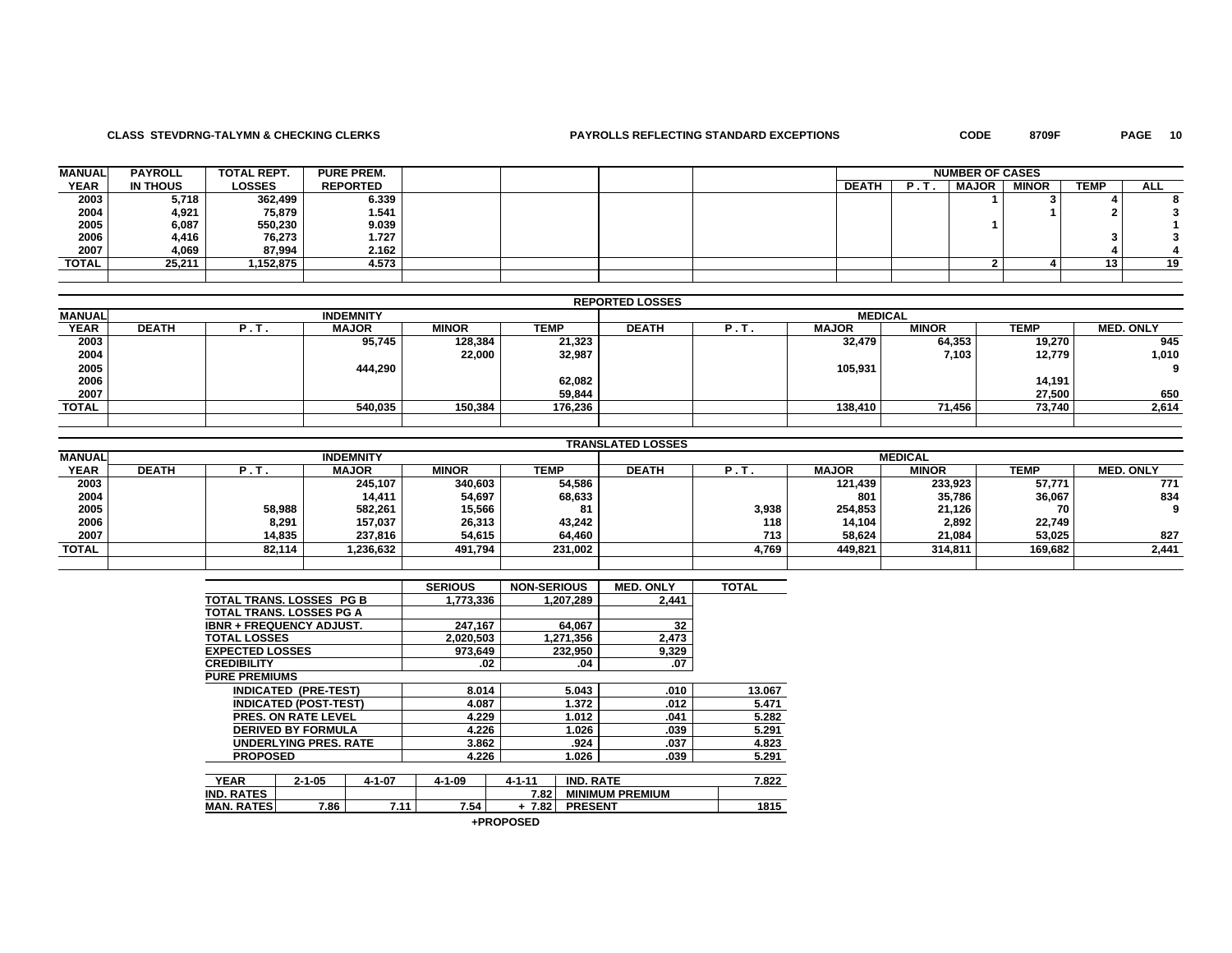## **CLASS STEVDRNG-TALYMN & CHECKING CLERKS PAYROLLS REFLECTING STANDARD EXCEPTIONS CODE 8709F PAGE 10**

PAGE 10

| <b>MANUAL</b> | <b>PAYROLL</b> | <b>TOTAL REPT.</b> | <b>PURE PREM.</b> |  |  |              | <b>NUMBER OF CASES</b> |              |              |      |            |
|---------------|----------------|--------------------|-------------------|--|--|--------------|------------------------|--------------|--------------|------|------------|
| <b>YEAR</b>   | IN THOUS       | <b>LOSSES</b>      | <b>REPORTED</b>   |  |  | <b>DEATH</b> | в                      | <b>MAJOR</b> | <b>MINOR</b> | TEMP | <b>ALL</b> |
| 2003          | 5,718          | 362,499            | 6.339             |  |  |              |                        |              |              |      |            |
| 2004          | 4,921          | 75,879             | 1.541             |  |  |              |                        |              |              |      |            |
| 2005          | 6,087          | 550,230            | 9.039             |  |  |              |                        |              |              |      |            |
| 2006          | 4,416          | 76,273             | 1.727             |  |  |              |                        |              |              |      |            |
| 2007          | 4,069          | 87,994             | 2.162             |  |  |              |                        |              |              |      |            |
| <b>TOTAL</b>  | 25.211         | 1,152,875          | 4.573             |  |  |              |                        |              |              | 13   | 19         |
|               |                |                    |                   |  |  |              |                        |              |              |      |            |

|               |              |      |                  |              |         | <b>REPORTED LOSSES</b> |    |              |              |        |                  |  |
|---------------|--------------|------|------------------|--------------|---------|------------------------|----|--------------|--------------|--------|------------------|--|
| <b>MANUAL</b> |              |      | <b>INDEMNITY</b> |              |         | <b>MEDICAL</b>         |    |              |              |        |                  |  |
| <b>YEAR</b>   | <b>DEATH</b> | P.T. | <b>MAJOR</b>     | <b>MINOR</b> | TEMP    | <b>DEATH</b>           | P. | <b>MAJOR</b> | <b>MINOR</b> | TEMP   | <b>MED. ONLY</b> |  |
| 2003          |              |      | 95,745           | 128,384      | 21,323  |                        |    | 32,479       | 64,353       | 19,270 | 945              |  |
| 2004          |              |      |                  | 22,000       | 32,987  |                        |    |              | 7,103        | 12,779 | 1,010            |  |
| 2005          |              |      | 444,290          |              |         |                        |    | 105,931      |              |        |                  |  |
| 2006          |              |      |                  |              | 62,082  |                        |    |              |              | 14,191 |                  |  |
| 2007          |              |      |                  |              | 59,844  |                        |    |              |              | 27.500 | 650              |  |
| TOTAL         |              |      | 540,035          | 150,384      | 176,236 |                        |    | 138,410      | 71,456       | 73,740 | 2,614            |  |
|               |              |      |                  |              |         |                        |    |              |              |        |                  |  |

|               | <b>TRANSLATED LOSSES</b> |        |                  |              |         |                |       |              |              |             |                  |  |
|---------------|--------------------------|--------|------------------|--------------|---------|----------------|-------|--------------|--------------|-------------|------------------|--|
| <b>MANUAL</b> |                          |        | <b>INDEMNITY</b> |              |         | <b>MEDICAL</b> |       |              |              |             |                  |  |
| <b>YEAR</b>   | <b>DEATH</b>             | . .    | <b>MAJOR</b>     | <b>MINOR</b> | TEMP    | <b>DEATH</b>   |       | <b>MAJOR</b> | <b>MINOR</b> | <b>TEMP</b> | <b>MED. ONLY</b> |  |
| 2003          |                          |        | 245,107          | 340,603      | 54,586  |                |       | 121,439      | 233,923      | 57,771      | 771              |  |
| 2004          |                          |        | 14,411           | 54,697       | 68,633  |                |       | 801          | 35,786       | 36,067      | 834              |  |
| 2005          |                          | 58,988 | 582,261          | 15,566       | 81      |                | 3,938 | 254,853      | 21,126       | 70          |                  |  |
| 2006          |                          | 8,291  | 157,037          | 26,313       | 43,242  |                | 118   | 14,104       | 2,892        | 22,749      |                  |  |
| 2007          |                          | 14,835 | 237,816          | 54,615       | 64,460  |                | 713   | 58,624       | 21,084       | 53,025      | 827              |  |
| <b>TOTAL</b>  |                          | 82,114 | 1,236,632        | 491,794      | 231,002 |                | 4,769 | 449,821      | 314,811      | 169.682     | 2,441            |  |
|               |                          |        |                  |              |         |                |       |              |              |             |                  |  |

|                                 |                              |              | <b>SERIOUS</b> | <b>NON-SERIOUS</b> |                        | <b>MED. ONLY</b> | <b>TOTAL</b> |
|---------------------------------|------------------------------|--------------|----------------|--------------------|------------------------|------------------|--------------|
| TOTAL TRANS, LOSSES PG B        |                              |              | 1.773.336      |                    | 1,207,289              | 2.441            |              |
| TOTAL TRANS. LOSSES PG A        |                              |              |                |                    |                        |                  |              |
| <b>IBNR + FREQUENCY ADJUST.</b> |                              |              | 247.167        |                    | 64.067                 | 32               |              |
| <b>TOTAL LOSSES</b>             |                              |              | 2,020,503      |                    | 1,271,356              | 2,473            |              |
| <b>EXPECTED LOSSES</b>          |                              |              | 973,649        |                    | 232,950                | 9,329            |              |
| <b>CREDIBILITY</b>              |                              |              | .02            |                    | .04                    | .07              |              |
| <b>PURE PREMIUMS</b>            |                              |              |                |                    |                        |                  |              |
|                                 | <b>INDICATED (PRE-TEST)</b>  |              | 8.014          |                    | 5.043                  | .010             | 13.067       |
|                                 | <b>INDICATED (POST-TEST)</b> |              | 4.087          |                    | 1.372                  | .012             | 5.471        |
|                                 | <b>PRES. ON RATE LEVEL</b>   |              | 4.229          |                    | 1.012                  | .041             | 5.282        |
|                                 | <b>DERIVED BY FORMULA</b>    |              | 4.226          |                    | 1.026                  | .039             | 5.291        |
|                                 | <b>UNDERLYING PRES, RATE</b> |              | 3.862          |                    | .924                   | .037             | 4.823        |
| <b>PROPOSED</b>                 |                              |              | 4.226          |                    | 1.026                  | .039             | 5.291        |
|                                 |                              |              |                |                    |                        |                  |              |
| <b>YEAR</b>                     | $2 - 1 - 05$                 | $4 - 1 - 07$ | 4-1-09         | $4 - 1 - 11$       | <b>IND. RATE</b>       |                  | 7.822        |
| <b>IND. RATES</b>               |                              |              |                | 7.82               | <b>MINIMUM PREMIUM</b> |                  |              |
| <b>MAN. RATES</b>               | 7.86                         | 7.11         | 7.54           | $+7.82$            | <b>PRESENT</b>         |                  | 1815         |